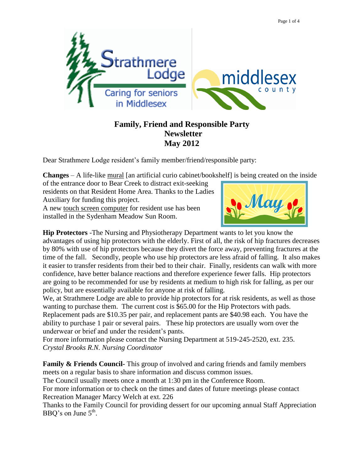

## **Family, Friend and Responsible Party Newsletter May 2012**

Dear Strathmere Lodge resident's family member/friend/responsible party:

**Changes** – A life-like mural [an artificial curio cabinet/bookshelf] is being created on the inside

of the entrance door to Bear Creek to distract exit-seeking residents on that Resident Home Area. Thanks to the Ladies Auxiliary for funding this project. A new touch screen computer for resident use has been installed in the Sydenham Meadow Sun Room.



**Hip Protectors** -The Nursing and Physiotherapy Department wants to let you know the advantages of using hip protectors with the elderly. First of all, the risk of hip fractures decreases by 80% with use of hip protectors because they divert the force away, preventing fractures at the time of the fall. Secondly, people who use hip protectors are less afraid of falling. It also makes it easier to transfer residents from their bed to their chair. Finally, residents can walk with more confidence, have better balance reactions and therefore experience fewer falls. Hip protectors are going to be recommended for use by residents at medium to high risk for falling, as per our policy, but are essentially available for anyone at risk of falling.

We, at Strathmere Lodge are able to provide hip protectors for at risk residents, as well as those wanting to purchase them. The current cost is \$65.00 for the Hip Protectors with pads. Replacement pads are \$10.35 per pair, and replacement pants are \$40.98 each. You have the ability to purchase 1 pair or several pairs. These hip protectors are usually worn over the underwear or brief and under the resident's pants.

For more information please contact the Nursing Department at 519-245-2520, ext. 235. *Crystal Brooks R.N. Nursing Coordinator*

**Family & Friends Council-** This group of involved and caring friends and family members meets on a regular basis to share information and discuss common issues.

The Council usually meets once a month at 1:30 pm in the Conference Room.

For more information or to check on the times and dates of future meetings please contact Recreation Manager Marcy Welch at ext. 226

Thanks to the Family Council for providing dessert for our upcoming annual Staff Appreciation BBQ's on June  $5^{\text{th}}$ .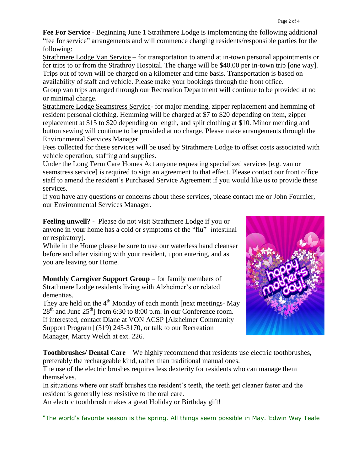**Fee For Service** - Beginning June 1 Strathmere Lodge is implementing the following additional "fee for service" arrangements and will commence charging residents/responsible parties for the following:

Strathmere Lodge Van Service – for transportation to attend at in-town personal appointments or for trips to or from the Strathroy Hospital. The charge will be \$40.00 per in-town trip [one way]. Trips out of town will be charged on a kilometer and time basis. Transportation is based on availability of staff and vehicle. Please make your bookings through the front office. Group van trips arranged through our Recreation Department will continue to be provided at no or minimal charge.

Strathmere Lodge Seamstress Service- for major mending, zipper replacement and hemming of resident personal clothing. Hemming will be charged at \$7 to \$20 depending on item, zipper replacement at \$15 to \$20 depending on length, and split clothing at \$10. Minor mending and button sewing will continue to be provided at no charge. Please make arrangements through the Environmental Services Manager.

Fees collected for these services will be used by Strathmere Lodge to offset costs associated with vehicle operation, staffing and supplies.

Under the Long Term Care Homes Act anyone requesting specialized services [e.g. van or seamstress service] is required to sign an agreement to that effect. Please contact our front office staff to amend the resident's Purchased Service Agreement if you would like us to provide these services.

If you have any questions or concerns about these services, please contact me or John Fournier, our Environmental Services Manager.

**Feeling unwell? -** Please do not visit Strathmere Lodge if you or anyone in your home has a cold or symptoms of the "flu" [intestinal or respiratory].

While in the Home please be sure to use our waterless hand cleanser before and after visiting with your resident, upon entering, and as you are leaving our Home.

**Monthly Caregiver Support Group** – for family members of Strathmere Lodge residents living with Alzheimer's or related dementias.

They are held on the  $4<sup>th</sup>$  Monday of each month [next meetings- May  $28<sup>th</sup>$  and June  $25<sup>th</sup>$ ] from 6:30 to 8:00 p.m. in our Conference room. If interested, contact Diane at VON ACSP [Alzheimer Community Support Program] (519) 245-3170, or talk to our Recreation Manager, Marcy Welch at ext. 226.



**Toothbrushes/ Dental Care** – We highly recommend that residents use electric toothbrushes, preferably the rechargeable kind, rather than traditional manual ones.

The use of the electric brushes requires less dexterity for residents who can manage them themselves.

In situations where our staff brushes the resident's teeth, the teeth get cleaner faster and the resident is generally less resistive to the oral care.

An electric toothbrush makes a great Holiday or Birthday gift!

"The world's favorite season is the spring. All things seem possible in May."Edwin Way Teale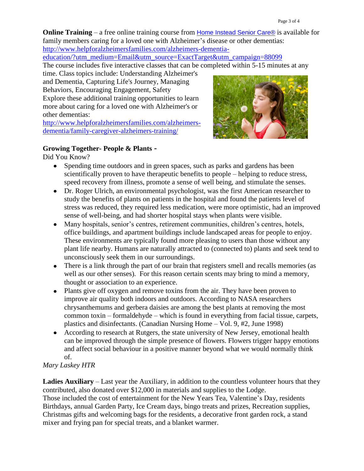**Online Training** – a free online training course from Home Instead Senior Care<sup>®</sup> is available for family members caring for a loved one with Alzheimer's disease or other dementias:

[http://www.helpforalzheimersfamilies.com/alzheimers-dementia-](http://www.helpforalzheimersfamilies.com/alzheimers-dementia-education/?utm_medium=Email&utm_source=ExactTarget&utm_campaign=88099)

[education/?utm\\_medium=Email&utm\\_source=ExactTarget&utm\\_campaign=88099](http://www.helpforalzheimersfamilies.com/alzheimers-dementia-education/?utm_medium=Email&utm_source=ExactTarget&utm_campaign=88099)

The course includes five interactive classes that can be completed within 5-15 minutes at any

time. Class topics include: Understanding Alzheimer's and Dementia, Capturing Life's Journey, Managing Behaviors, Encouraging Engagement, Safety Explore these additional training opportunities to learn more about caring for a loved one with Alzheimer's or other dementias:

[http://www.helpforalzheimersfamilies.com/alzheimers](http://www.helpforalzheimersfamilies.com/alzheimers-dementia/family-caregiver-alzheimers-training/)[dementia/family-caregiver-alzheimers-training/](http://www.helpforalzheimersfamilies.com/alzheimers-dementia/family-caregiver-alzheimers-training/)



## **Growing Together- People & Plants -**

Did You Know?

- Spending time outdoors and in green spaces, such as parks and gardens has been scientifically proven to have therapeutic benefits to people – helping to reduce stress, speed recovery from illness, promote a sense of well being, and stimulate the senses.
- Dr. Roger Ulrich, an environmental psychologist, was the first American researcher to study the benefits of plants on patients in the hospital and found the patients level of stress was reduced, they required less medication, were more optimistic, had an improved sense of well-being, and had shorter hospital stays when plants were visible.
- Many hospitals, senior's centres, retirement communities, children's centres, hotels, office buildings, and apartment buildings include landscaped areas for people to enjoy. These environments are typically found more pleasing to users than those without any plant life nearby. Humans are naturally attracted to (connected to) plants and seek tend to unconsciously seek them in our surroundings.
- There is a link through the part of our brain that registers smell and recalls memories (as well as our other senses). For this reason certain scents may bring to mind a memory, thought or association to an experience.
- Plants give off oxygen and remove toxins from the air. They have been proven to improve air quality both indoors and outdoors. According to NASA researchers chrysanthemums and gerbera daisies are among the best plants at removing the most common toxin – formaldehyde – which is found in everything from facial tissue, carpets, plastics and disinfectants. (Canadian Nursing Home – Vol. 9, #2, June 1998)
- According to research at Rutgers, the state university of New Jersey, emotional health can be improved through the simple presence of flowers. Flowers trigger happy emotions and affect social behaviour in a positive manner beyond what we would normally think of.

## *Mary Laskey HTR*

**Ladies Auxiliary** – Last year the Auxiliary, in addition to the countless volunteer hours that they contributed, also donated over \$12,000 in materials and supplies to the Lodge. Those included the cost of entertainment for the New Years Tea, Valentine's Day, residents Birthdays, annual Garden Party, Ice Cream days, bingo treats and prizes, Recreation supplies, Christmas gifts and welcoming bags for the residents, a decorative front garden rock, a stand mixer and frying pan for special treats, and a blanket warmer.